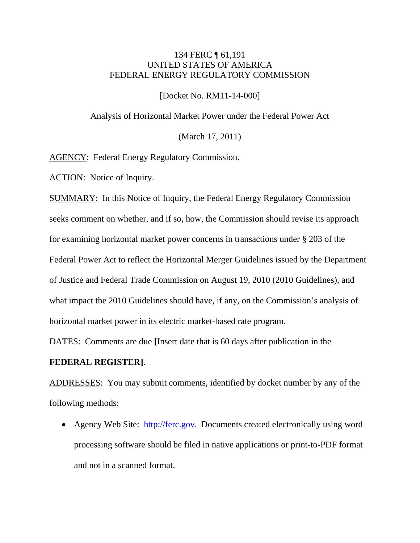## 134 FERC ¶ 61,191 UNITED STATES OF AMERICA FEDERAL ENERGY REGULATORY COMMISSION

[Docket No. RM11-14-000]

Analysis of Horizontal Market Power under the Federal Power Act

(March 17, 2011)

AGENCY: Federal Energy Regulatory Commission.

ACTION: Notice of Inquiry.

SUMMARY: In this Notice of Inquiry, the Federal Energy Regulatory Commission seeks comment on whether, and if so, how, the Commission should revise its approach for examining horizontal market power concerns in transactions under § 203 of the Federal Power Act to reflect the Horizontal Merger Guidelines issued by the Department of Justice and Federal Trade Commission on August 19, 2010 (2010 Guidelines), and what impact the 2010 Guidelines should have, if any, on the Commission's analysis of horizontal market power in its electric market-based rate program.

DATES: Comments are due **[**Insert date that is 60 days after publication in the

### **FEDERAL REGISTER]**.

ADDRESSES: You may submit comments, identified by docket number by any of the following methods:

• Agency Web Site: [http://ferc.gov.](http://ferc.gov/) Documents created electronically using word processing software should be filed in native applications or print-to-PDF format and not in a scanned format.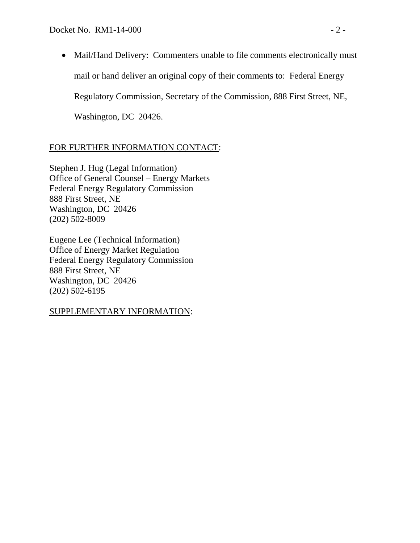• Mail/Hand Delivery: Commenters unable to file comments electronically must mail or hand deliver an original copy of their comments to: Federal Energy Regulatory Commission, Secretary of the Commission, 888 First Street, NE,

Washington, DC 20426.

# FOR FURTHER INFORMATION CONTACT:

Stephen J. Hug (Legal Information) Office of General Counsel – Energy Markets Federal Energy Regulatory Commission 888 First Street, NE Washington, DC 20426 (202) 502-8009

Eugene Lee (Technical Information) Office of Energy Market Regulation Federal Energy Regulatory Commission 888 First Street, NE Washington, DC 20426 (202) 502-6195

## SUPPLEMENTARY INFORMATION: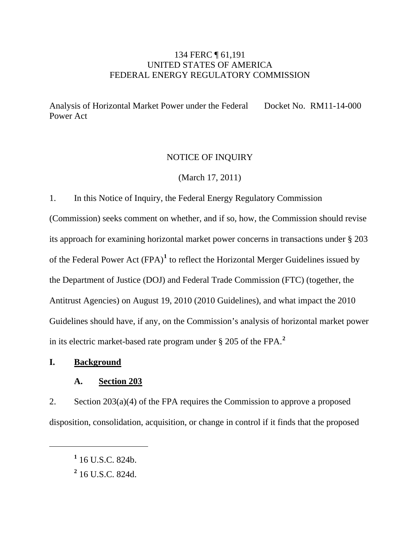## 134 FERC ¶ 61,191 UNITED STATES OF AMERICA FEDERAL ENERGY REGULATORY COMMISSION

Analysis of Horizontal Market Power under the Federal Power Act Docket No. RM11-14-000

### NOTICE OF INQUIRY

(March 17, 2011)

1. In this Notice of Inquiry, the Federal Energy Regulatory Commission

(Commission) seeks comment on whether, and if so, how, the Commission should revise its approach for examining horizontal market power concerns in transactions under § 203 of the Federal Power Act (FPA)**[1](#page-2-0)** to reflect the Horizontal Merger Guidelines issued by the Department of Justice (DOJ) and Federal Trade Commission (FTC) (together, the Antitrust Agencies) on August 19, 2010 (2010 Guidelines), and what impact the 2010 Guidelines should have, if any, on the Commission's analysis of horizontal market power in its electric market-based rate program under § 205 of the FPA.**[2](#page-2-1)**

### **I. Background**

<span id="page-2-1"></span><span id="page-2-0"></span>

### **A. Section 203**

2. Section  $203(a)(4)$  of the FPA requires the Commission to approve a proposed disposition, consolidation, acquisition, or change in control if it finds that the proposed

**<sup>1</sup>** 16 U.S.C. 824b.

**<sup>2</sup>** 16 U.S.C. 824d.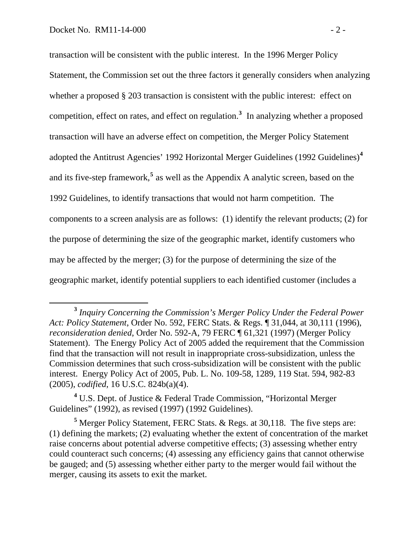transaction will be consistent with the public interest. In the 1996 Merger Policy Statement, the Commission set out the three factors it generally considers when analyzing whether a proposed § 203 transaction is consistent with the public interest: effect on competition, effect on rates, and effect on regulation.**<sup>3</sup>** In analyzing whether a proposed transaction will have an adverse effect on competition, the Merger Policy Statement adopted the Antitrust Agencies' 1992 Horizontal Merger Guidelines (1992 Guidelines)**<sup>4</sup>** and its five-step framework,<sup>5</sup> as well as the Appendix A analytic screen, based on the 1992 Guidelines, to identify transactions that would not harm competition. The components to a screen analysis are as follows: (1) identify the relevant products; (2) for the purpose of determining the size of the geographic market, identify customers who may be affected by the merger; (3) for the purpose of determining the size of the geographic market, identify potential suppliers to each identified customer (includes a

**<sup>3</sup>** *Inquiry Concerning the Commission's Merger Policy Under the Federal Power Act: Policy Statement*, Order No. 592, FERC Stats. & Regs. ¶ 31,044, at 30,111 (1996), *reconsideration denied*, Order No. 592-A, 79 FERC ¶ 61,321 (1997) (Merger Policy Statement). The Energy Policy Act of 2005 added the requirement that the Commission find that the transaction will not result in inappropriate cross-subsidization, unless the Commission determines that such cross-subsidization will be consistent with the public interest. Energy Policy Act of 2005, Pub. L. No. 109-58, 1289, 119 Stat. 594, 982-83 (2005), *codified*, 16 U.S.C. 824b(a)(4).

<sup>&</sup>lt;sup>4</sup> U.S. Dept. of Justice & Federal Trade Commission, "Horizontal Merger Guidelines" (1992), as revised (1997) (1992 Guidelines).

<sup>&</sup>lt;sup>5</sup> Merger Policy Statement, FERC Stats. & Regs. at 30,118. The five steps are: (1) defining the markets; (2) evaluating whether the extent of concentration of the market raise concerns about potential adverse competitive effects; (3) assessing whether entry could counteract such concerns; (4) assessing any efficiency gains that cannot otherwise be gauged; and (5) assessing whether either party to the merger would fail without the merger, causing its assets to exit the market.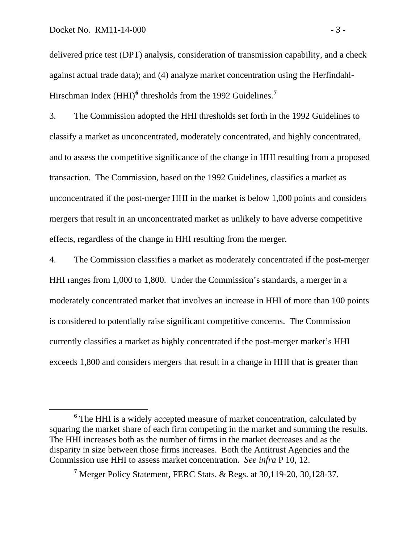delivered price test (DPT) analysis, consideration of transmission capability, and a check against actual trade data); and (4) analyze market concentration using the Herfindahl-Hirschman Index (HHI)<sup>6</sup> thresholds from the 1992 Guidelines.<sup>7</sup>

3. The Commission adopted the HHI thresholds set forth in the 1992 Guidelines to classify a market as unconcentrated, moderately concentrated, and highly concentrated, and to assess the competitive significance of the change in HHI resulting from a proposed transaction. The Commission, based on the 1992 Guidelines, classifies a market as unconcentrated if the post-merger HHI in the market is below 1,000 points and considers mergers that result in an unconcentrated market as unlikely to have adverse competitive effects, regardless of the change in HHI resulting from the merger.

4. The Commission classifies a market as moderately concentrated if the post-merger HHI ranges from 1,000 to 1,800. Under the Commission's standards, a merger in a moderately concentrated market that involves an increase in HHI of more than 100 points is considered to potentially raise significant competitive concerns. The Commission currently classifies a market as highly concentrated if the post-merger market's HHI exceeds 1,800 and considers mergers that result in a change in HHI that is greater than

**<sup>6</sup>** The HHI is a widely accepted measure of market concentration, calculated by squaring the market share of each firm competing in the market and summing the results. The HHI increases both as the number of firms in the market decreases and as the disparity in size between those firms increases. Both the Antitrust Agencies and the Commission use HHI to assess market concentration. *See infra* P 10, 12.

**<sup>7</sup>** Merger Policy Statement, FERC Stats. & Regs. at 30,119-20, 30,128-37.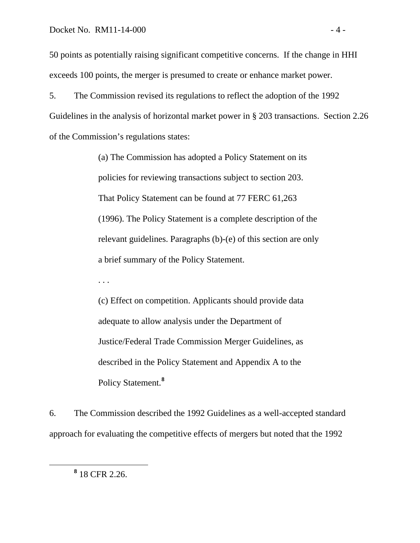50 points as potentially raising significant competitive concerns. If the change in HHI exceeds 100 points, the merger is presumed to create or enhance market power.

5. The Commission revised its regulations to reflect the adoption of the 1992 Guidelines in the analysis of horizontal market power in § 203 transactions. Section 2.26 of the Commission's regulations states:

> (a) The Commission has adopted a Policy Statement on its policies for reviewing transactions subject to section 203. That Policy Statement can be found at 77 FERC 61,263 (1996). The Policy Statement is a complete description of the relevant guidelines. Paragraphs (b)-(e) of this section are only a brief summary of the Policy Statement.

(c) Effect on competition. Applicants should provide data adequate to allow analysis under the Department of Justice/Federal Trade Commission Merger Guidelines, as described in the Policy Statement and Appendix A to the Policy Statement.**[8](#page-5-0)**

6. The Commission described the 1992 Guidelines as a well-accepted standard approach for evaluating the competitive effects of mergers but noted that the 1992

. . .

<span id="page-5-0"></span>**<sup>8</sup>** <sup>8</sup> 18 CFR 2.26.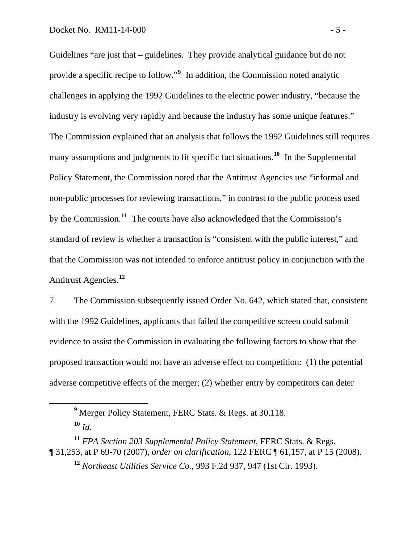Guidelines "are just that – guidelines. They provide analytical guidance but do not provide a specific recipe to follow."**<sup>9</sup>** In addition, the Commission noted analytic challenges in applying the 1992 Guidelines to the electric power industry, "because the industry is evolving very rapidly and because the industry has some unique features." The Commission explained that an analysis that follows the 1992 Guidelines still requires many assumptions and judgments to fit specific fact situations.<sup>10</sup> In the Supplemental Policy Statement, the Commission noted that the Antitrust Agencies use "informal and non-public processes for reviewing transactions," in contrast to the public process used by the Commission.**<sup>11</sup>** The courts have also acknowledged that the Commission's standard of review is whether a transaction is "consistent with the public interest," and that the Commission was not intended to enforce antitrust policy in conjunction with the Antitrust Agencies.**<sup>12</sup>**

7. The Commission subsequently issued Order No. 642, which stated that, consistent with the 1992 Guidelines, applicants that failed the competitive screen could submit evidence to assist the Commission in evaluating the following factors to show that the proposed transaction would not have an adverse effect on competition: (1) the potential adverse competitive effects of the merger; (2) whether entry by competitors can deter

**<sup>9</sup>** Merger Policy Statement, FERC Stats. & Regs. at 30,118.

 $10 \frac{1}{d}$ 

**<sup>11</sup>** *FPA Section 203 Supplemental Policy Statement*, FERC Stats. & Regs. ¶ 31,253, at P 69-70 (2007), *order on clarification*, 122 FERC ¶ 61,157, at P 15 (2008).

**<sup>12</sup>** *Northeast Utilities Service Co.*, 993 F.2d 937, 947 (1st Cir. 1993).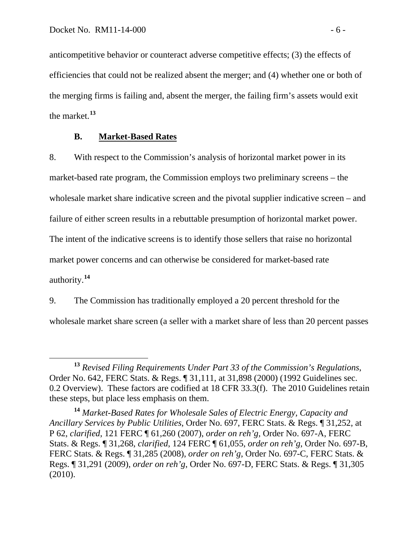anticompetitive behavior or counteract adverse competitive effects; (3) the effects of efficiencies that could not be realized absent the merger; and (4) whether one or both of the merging firms is failing and, absent the merger, the failing firm's assets would exit the market.**<sup>13</sup>**

## **B. Market-Based Rates**

8. With respect to the Commission's analysis of horizontal market power in its market-based rate program, the Commission employs two preliminary screens – the wholesale market share indicative screen and the pivotal supplier indicative screen – and failure of either screen results in a rebuttable presumption of horizontal market power. The intent of the indicative screens is to identify those sellers that raise no horizontal market power concerns and can otherwise be considered for market-based rate authority.**[14](#page-7-0)**

9. The Commission has traditionally employed a 20 percent threshold for the wholesale market share screen (a seller with a market share of less than 20 percent passes

**<sup>13</sup>** *Revised Filing Requirements Under Part 33 of the Commission's Regulations*, Order No. 642, FERC Stats. & Regs. ¶ 31,111, at 31,898 (2000) (1992 Guidelines sec. 0.2 Overview). These factors are codified at 18 CFR 33.3(f). The 2010 Guidelines retain these steps, but place less emphasis on them.

<span id="page-7-0"></span>**<sup>14</sup>** *Market-Based Rates for Wholesale Sales of Electric Energy, Capacity and Ancillary Services by Public Utilities*, Order No. 697, FERC Stats. & Regs. ¶ 31,252, at P 62, *clarified*, 121 FERC ¶ 61,260 (2007), *order on reh'g*, Order No. 697-A, FERC Stats. & Regs. ¶ 31,268, *clarified*, 124 FERC ¶ 61,055, *order on reh'g*, Order No. 697-B, FERC Stats. & Regs. ¶ 31,285 (2008), *order on reh'g*, Order No. 697-C, FERC Stats. & Regs. ¶ 31,291 (2009), *order on reh'g*, Order No. 697-D, FERC Stats. & Regs. ¶ 31,305 (2010).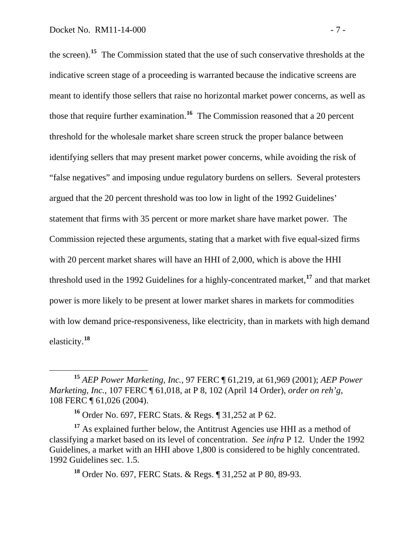the screen).**<sup>15</sup>** The Commission stated that the use of such conservative thresholds at the indicative screen stage of a proceeding is warranted because the indicative screens are meant to identify those sellers that raise no horizontal market power concerns, as well as those that require further examination.**<sup>16</sup>** The Commission reasoned that a 20 percent threshold for the wholesale market share screen struck the proper balance between identifying sellers that may present market power concerns, while avoiding the risk of "false negatives" and imposing undue regulatory burdens on sellers. Several protesters argued that the 20 percent threshold was too low in light of the 1992 Guidelines' statement that firms with 35 percent or more market share have market power. The Commission rejected these arguments, stating that a market with five equal-sized firms with 20 percent market shares will have an HHI of 2,000, which is above the HHI threshold used in the 1992 Guidelines for a highly-concentrated market,**<sup>17</sup>** and that market power is more likely to be present at lower market shares in markets for commodities with low demand price-responsiveness, like electricity, than in markets with high demand elasticity.**<sup>18</sup>**

**<sup>18</sup>** Order No. 697, FERC Stats. & Regs. ¶ 31,252 at P 80, 89-93.

**<sup>15</sup>** *AEP Power Marketing, Inc.*, 97 FERC ¶ 61,219, at 61,969 (2001); *AEP Power Marketing, Inc.*, 107 FERC ¶ 61,018, at P 8, 102 (April 14 Order), *order on reh'g*, 108 FERC ¶ 61,026 (2004).

**<sup>16</sup>** Order No. 697, FERC Stats. & Regs. ¶ 31,252 at P 62.

**<sup>17</sup>** As explained further below, the Antitrust Agencies use HHI as a method of classifying a market based on its level of concentration. *See infra* P 12. Under the 1992 Guidelines, a market with an HHI above 1,800 is considered to be highly concentrated. 1992 Guidelines sec. 1.5.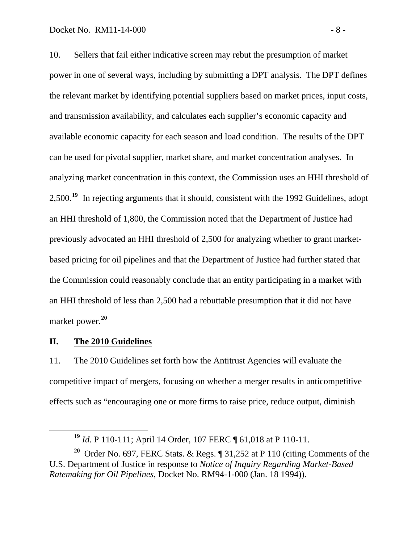10. Sellers that fail either indicative screen may rebut the presumption of market power in one of several ways, including by submitting a DPT analysis. The DPT defines the relevant market by identifying potential suppliers based on market prices, input costs, and transmission availability, and calculates each supplier's economic capacity and available economic capacity for each season and load condition. The results of the DPT can be used for pivotal supplier, market share, and market concentration analyses. In analyzing market concentration in this context, the Commission uses an HHI threshold of 2,500.**[19](#page-9-0)** In rejecting arguments that it should, consistent with the 1992 Guidelines, adopt an HHI threshold of 1,800, the Commission noted that the Department of Justice had previously advocated an HHI threshold of 2,500 for analyzing whether to grant marketbased pricing for oil pipelines and that the Department of Justice had further stated that the Commission could reasonably conclude that an entity participating in a market with an HHI threshold of less than 2,500 had a rebuttable presumption that it did not have market power.**[20](#page-9-1)**

#### **II. The 2010 Guidelines**

11. The 2010 Guidelines set forth how the Antitrust Agencies will evaluate the competitive impact of mergers, focusing on whether a merger results in anticompetitive effects such as "encouraging one or more firms to raise price, reduce output, diminish

**<sup>19</sup>** *Id.* P 110-111; April 14 Order, 107 FERC ¶ 61,018 at P 110-11.

<span id="page-9-1"></span><span id="page-9-0"></span>**<sup>20</sup>** Order No. 697, FERC Stats. & Regs. ¶ 31,252 at P 110 (citing Comments of the U.S. Department of Justice in response to *Notice of Inquiry Regarding Market-Based Ratemaking for Oil Pipelines*, Docket No. RM94-1-000 (Jan. 18 1994)).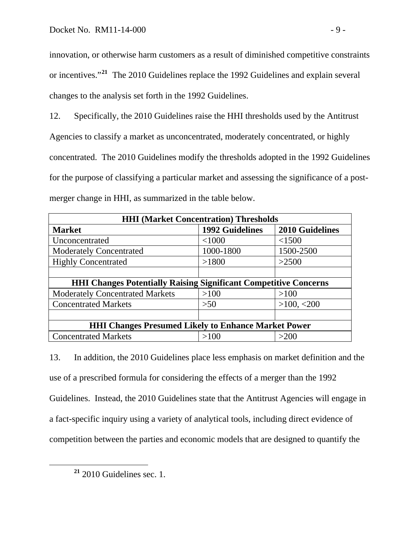innovation, or otherwise harm customers as a result of diminished competitive constraints or incentives."**<sup>21</sup>** The 2010 Guidelines replace the 1992 Guidelines and explain several changes to the analysis set forth in the 1992 Guidelines.

12. Specifically, the 2010 Guidelines raise the HHI thresholds used by the Antitrust Agencies to classify a market as unconcentrated, moderately concentrated, or highly concentrated. The 2010 Guidelines modify the thresholds adopted in the 1992 Guidelines for the purpose of classifying a particular market and assessing the significance of a postmerger change in HHI, as summarized in the table below.

| <b>HHI (Market Concentration) Thresholds</b>                            |                        |                        |
|-------------------------------------------------------------------------|------------------------|------------------------|
| <b>Market</b>                                                           | <b>1992 Guidelines</b> | <b>2010 Guidelines</b> |
| Unconcentrated                                                          | < 1000                 | < 1500                 |
| <b>Moderately Concentrated</b>                                          | 1000-1800              | 1500-2500              |
| <b>Highly Concentrated</b>                                              | >1800                  | >2500                  |
|                                                                         |                        |                        |
| <b>HHI Changes Potentially Raising Significant Competitive Concerns</b> |                        |                        |
| <b>Moderately Concentrated Markets</b>                                  | >100                   | >100                   |
| <b>Concentrated Markets</b>                                             | >50                    | >100, <200             |
|                                                                         |                        |                        |
| <b>HHI Changes Presumed Likely to Enhance Market Power</b>              |                        |                        |
| <b>Concentrated Markets</b>                                             | >100                   | >200                   |

13. In addition, the 2010 Guidelines place less emphasis on market definition and the use of a prescribed formula for considering the effects of a merger than the 1992 Guidelines. Instead, the 2010 Guidelines state that the Antitrust Agencies will engage in a fact-specific inquiry using a variety of analytical tools, including direct evidence of competition between the parties and economic models that are designed to quantify the

**<sup>21</sup>** 2010 Guidelines sec. 1.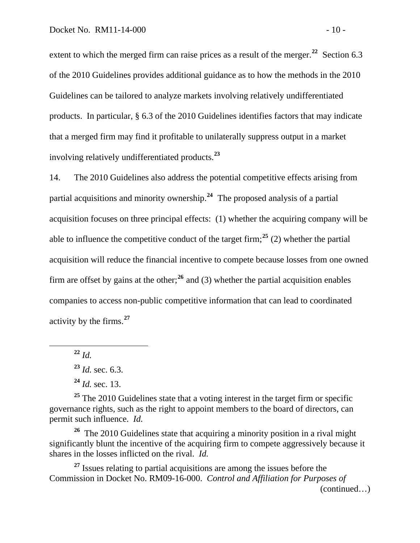extent to which the merged firm can raise prices as a result of the merger.<sup>22</sup> Section 6.3 of the 2010 Guidelines provides additional guidance as to how the methods in the 2010 Guidelines can be tailored to analyze markets involving relatively undifferentiated products. In particular, § 6.3 of the 2010 Guidelines identifies factors that may indicate that a merged firm may find it profitable to unilaterally suppress output in a market involving relatively undifferentiated products.**<sup>23</sup>**

14. The 2010 Guidelines also address the potential competitive effects arising from partial acquisitions and minority ownership.**[24](#page-11-0)** The proposed analysis of a partial acquisition focuses on three principal effects: (1) whether the acquiring company will be able to influence the competitive conduct of the target firm;<sup>[25](#page-11-1)</sup> (2) whether the partial acquisition will reduce the financial incentive to compete because losses from one owned firm are offset by gains at the other;**[26](#page-11-2)** and (3) whether the partial acquisition enables companies to access non-public competitive information that can lead to coordinated activity by the firms.**[27](#page-11-3)**

**<sup>22</sup>** *Id.*

 $\overline{a}$ 

**<sup>24</sup>** *Id.* sec. 13.

<span id="page-11-1"></span><span id="page-11-0"></span><sup>25</sup> The 2010 Guidelines state that a voting interest in the target firm or specific governance rights, such as the right to appoint members to the board of directors, can permit such influence. *Id.*

<span id="page-11-2"></span>**<sup>26</sup>** The 2010 Guidelines state that acquiring a minority position in a rival might significantly blunt the incentive of the acquiring firm to compete aggressively because it shares in the losses inflicted on the rival. *Id.*

<span id="page-11-3"></span>(continued…) <sup>27</sup> Issues relating to partial acquisitions are among the issues before the Commission in Docket No. RM09-16-000. *Control and Affiliation for Purposes of* 

**<sup>23</sup>** *Id.* sec. 6.3.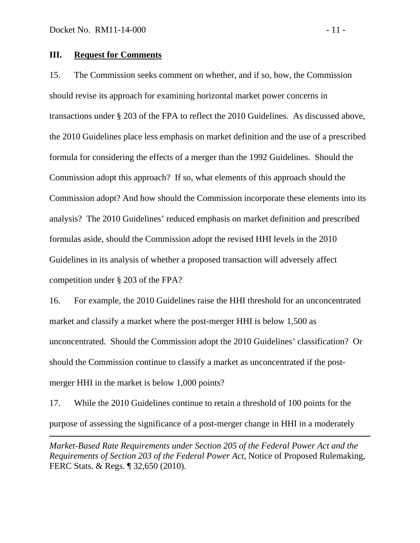$\overline{a}$ 

#### **III. Request for Comments**

15. The Commission seeks comment on whether, and if so, how, the Commission should revise its approach for examining horizontal market power concerns in transactions under § 203 of the FPA to reflect the 2010 Guidelines. As discussed above, the 2010 Guidelines place less emphasis on market definition and the use of a prescribed formula for considering the effects of a merger than the 1992 Guidelines. Should the Commission adopt this approach? If so, what elements of this approach should the Commission adopt? And how should the Commission incorporate these elements into its analysis? The 2010 Guidelines' reduced emphasis on market definition and prescribed formulas aside, should the Commission adopt the revised HHI levels in the 2010 Guidelines in its analysis of whether a proposed transaction will adversely affect competition under § 203 of the FPA?

16. For example, the 2010 Guidelines raise the HHI threshold for an unconcentrated market and classify a market where the post-merger HHI is below 1,500 as unconcentrated. Should the Commission adopt the 2010 Guidelines' classification? Or should the Commission continue to classify a market as unconcentrated if the postmerger HHI in the market is below 1,000 points?

17. While the 2010 Guidelines continue to retain a threshold of 100 points for the purpose of assessing the significance of a post-merger change in HHI in a moderately

*Market-Based Rate Requirements under Section 205 of the Federal Power Act and the Requirements of Section 203 of the Federal Power Act*, Notice of Proposed Rulemaking, FERC Stats. & Regs. ¶ 32,650 (2010).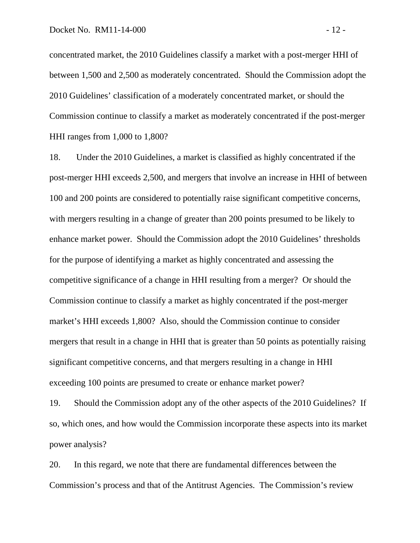concentrated market, the 2010 Guidelines classify a market with a post-merger HHI of between 1,500 and 2,500 as moderately concentrated. Should the Commission adopt the 2010 Guidelines' classification of a moderately concentrated market, or should the Commission continue to classify a market as moderately concentrated if the post-merger HHI ranges from 1,000 to 1,800?

18. Under the 2010 Guidelines, a market is classified as highly concentrated if the post-merger HHI exceeds 2,500, and mergers that involve an increase in HHI of between 100 and 200 points are considered to potentially raise significant competitive concerns, with mergers resulting in a change of greater than 200 points presumed to be likely to enhance market power. Should the Commission adopt the 2010 Guidelines' thresholds for the purpose of identifying a market as highly concentrated and assessing the competitive significance of a change in HHI resulting from a merger? Or should the Commission continue to classify a market as highly concentrated if the post-merger market's HHI exceeds 1,800? Also, should the Commission continue to consider mergers that result in a change in HHI that is greater than 50 points as potentially raising significant competitive concerns, and that mergers resulting in a change in HHI exceeding 100 points are presumed to create or enhance market power?

19. Should the Commission adopt any of the other aspects of the 2010 Guidelines? If so, which ones, and how would the Commission incorporate these aspects into its market power analysis?

20. In this regard, we note that there are fundamental differences between the Commission's process and that of the Antitrust Agencies. The Commission's review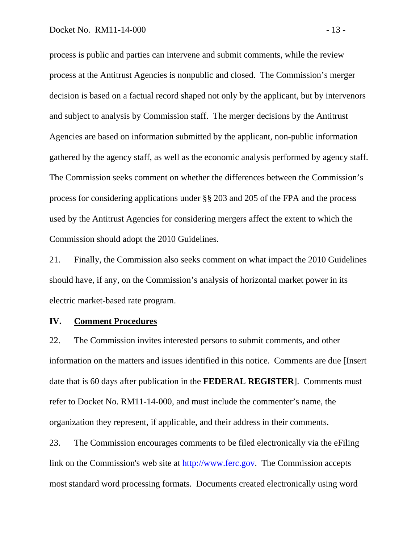process is public and parties can intervene and submit comments, while the review process at the Antitrust Agencies is nonpublic and closed. The Commission's merger decision is based on a factual record shaped not only by the applicant, but by intervenors and subject to analysis by Commission staff. The merger decisions by the Antitrust Agencies are based on information submitted by the applicant, non-public information gathered by the agency staff, as well as the economic analysis performed by agency staff. The Commission seeks comment on whether the differences between the Commission's process for considering applications under §§ 203 and 205 of the FPA and the process used by the Antitrust Agencies for considering mergers affect the extent to which the Commission should adopt the 2010 Guidelines.

21. Finally, the Commission also seeks comment on what impact the 2010 Guidelines should have, if any, on the Commission's analysis of horizontal market power in its electric market-based rate program.

#### **IV. Comment Procedures**

22. The Commission invites interested persons to submit comments, and other information on the matters and issues identified in this notice. Comments are due [Insert date that is 60 days after publication in the **FEDERAL REGISTER**]. Comments must refer to Docket No. RM11-14-000, and must include the commenter's name, the organization they represent, if applicable, and their address in their comments.

23. The Commission encourages comments to be filed electronically via the eFiling link on the Commission's web site at [http://www.ferc.gov.](http://www.ferc.gov/) The Commission accepts most standard word processing formats. Documents created electronically using word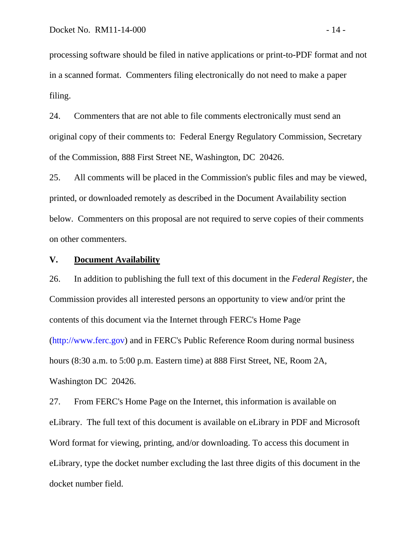processing software should be filed in native applications or print-to-PDF format and not in a scanned format. Commenters filing electronically do not need to make a paper filing.

24. Commenters that are not able to file comments electronically must send an original copy of their comments to: Federal Energy Regulatory Commission, Secretary of the Commission, 888 First Street NE, Washington, DC 20426.

25. All comments will be placed in the Commission's public files and may be viewed, printed, or downloaded remotely as described in the Document Availability section below. Commenters on this proposal are not required to serve copies of their comments on other commenters.

#### **V. Document Availability**

26. In addition to publishing the full text of this document in the *Federal Register*, the Commission provides all interested persons an opportunity to view and/or print the contents of this document via the Internet through FERC's Home Page [\(http://www.ferc.gov\)](http://www.ferc.gov/) and in FERC's Public Reference Room during normal business hours (8:30 a.m. to 5:00 p.m. Eastern time) at 888 First Street, NE, Room 2A, Washington DC 20426.

27. From FERC's Home Page on the Internet, this information is available on eLibrary. The full text of this document is available on eLibrary in PDF and Microsoft Word format for viewing, printing, and/or downloading. To access this document in eLibrary, type the docket number excluding the last three digits of this document in the docket number field.